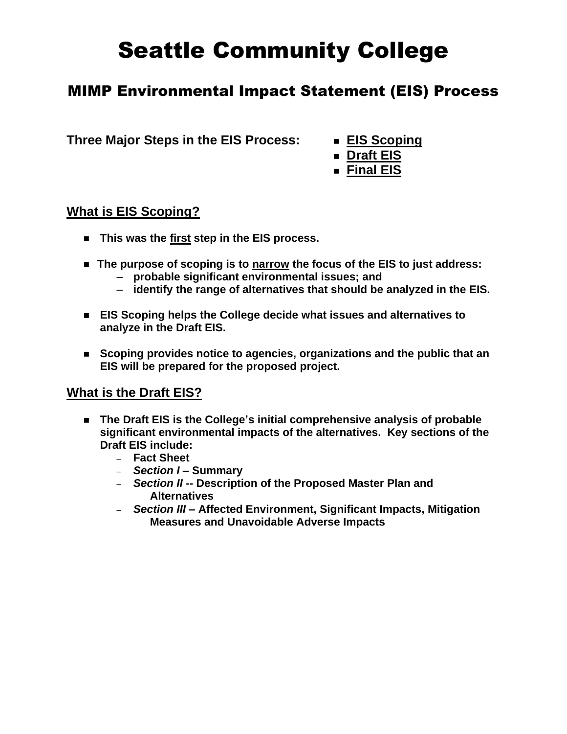# Seattle Community College

## MIMP Environmental Impact Statement (EIS) Process

**Three Major Steps in the EIS Process:** <sup>◼</sup> **EIS Scoping**

- 
- Draft **EIS**
- Final EIS

#### **What is EIS Scoping?**

- This was the first step in the EIS process.
- The purpose of scoping is to **narrow** the focus of the EIS to just address:
	- **probable significant environmental issues; and**
	- **identify the range of alternatives that should be analyzed in the EIS.**
- ◼ **EIS Scoping helps the College decide what issues and alternatives to analyze in the Draft EIS.**
- Scoping provides notice to agencies, organizations and the public that an **EIS will be prepared for the proposed project.**

#### **What is the Draft EIS?**

- The Draft EIS is the College's initial comprehensive analysis of probable **significant environmental impacts of the alternatives. Key sections of the Draft EIS include:**
	- **Fact Sheet**
	- *Section I* **– Summary**
	- *Section II* **-- Description of the Proposed Master Plan and Alternatives**
	- *Section III* **– Affected Environment, Significant Impacts, Mitigation Measures and Unavoidable Adverse Impacts**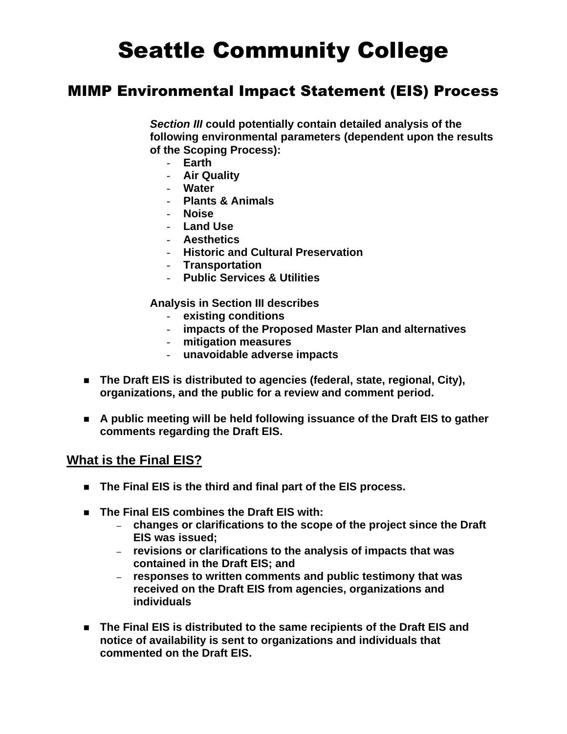# Seattle Community College

### MIMP Environmental Impact Statement (EIS) Process

*Section III* **could potentially contain detailed analysis of the following environmental parameters (dependent upon the results of the Scoping Process):**

- **Earth**
- **Air Quality**
- **Water**
- **Plants & Animals**
- **Noise**
- **Land Use**
- **Aesthetics**
- **Historic and Cultural Preservation**
- **Transportation**
- **Public Services & Utilities**

**Analysis in Section III describes** 

- **existing conditions**
- **impacts of the Proposed Master Plan and alternatives**
- **mitigation measures**
- **unavoidable adverse impacts**
- ◼ **The Draft EIS is distributed to agencies (federal, state, regional, City), organizations, and the public for a review and comment period.**
- A public meeting will be held following issuance of the Draft EIS to gather **comments regarding the Draft EIS.**

#### **What is the Final EIS?**

- The Final EIS is the third and final part of the EIS process.
- The Final EIS combines the Draft EIS with:
	- **changes or clarifications to the scope of the project since the Draft EIS was issued;**
	- **revisions or clarifications to the analysis of impacts that was contained in the Draft EIS; and**
	- **responses to written comments and public testimony that was received on the Draft EIS from agencies, organizations and individuals**
- The Final EIS is distributed to the same recipients of the Draft EIS and **notice of availability is sent to organizations and individuals that commented on the Draft EIS.**